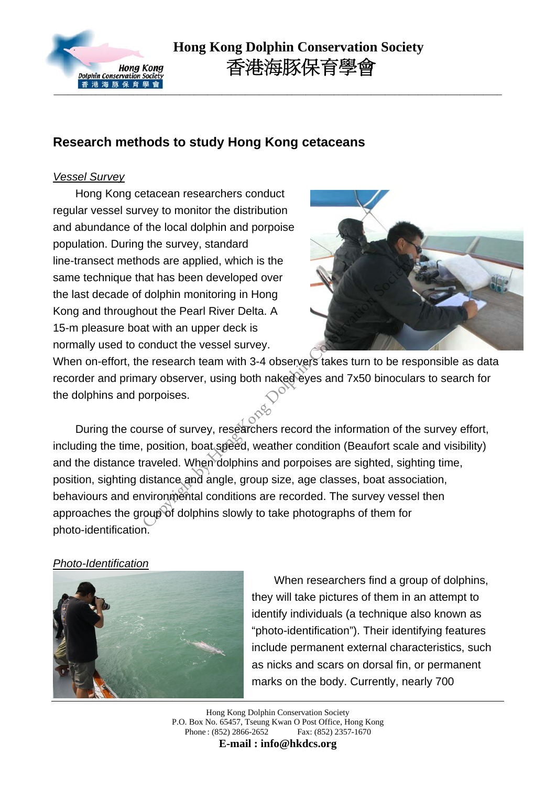

# **Research methods to study Hong Kong cetaceans**

#### *Vessel Survey*

Hong Kong cetacean researchers conduct regular vessel survey to monitor the distribution and abundance of the local dolphin and porpoise population. During the survey, standard line-transect methods are applied, which is the same technique that has been developed over the last decade of dolphin monitoring in Hong Kong and throughout the Pearl River Delta. A 15-m pleasure boat with an upper deck is normally used to conduct the vessel survey.



When on-effort, the research team with 3-4 observers takes turn to be responsible as data recorder and primary observer, using both naked eyes and 7x50 binoculars to search for the dolphins and porpoises.

During the course of survey, researchers record the information of the survey effort, including the time, position, boat speed, weather condition (Beaufort scale and visibility) and the distance traveled. When dolphins and porpoises are sighted, sighting time, position, sighting distance and angle, group size, age classes, boat association, behaviours and environmental conditions are recorded. The survey vessel then approaches the group of dolphins slowly to take photographs of them for photo-identification. France are applied, which is the<br>and has been developed over<br>dolphin monitoring in Hong<br>out the Pearl River Delta. A<br>at with an upper deck is<br>conduct the vessel survey.<br>e research team with 3-4 observers takes turn to be r

#### *Photo-Identification*



When researchers find a group of dolphins, they will take pictures of them in an attempt to identify individuals (a technique also known as "photo-identification"). Their identifying features include permanent external characteristics, such as nicks and scars on dorsal fin, or permanent marks on the body. Currently, nearly 700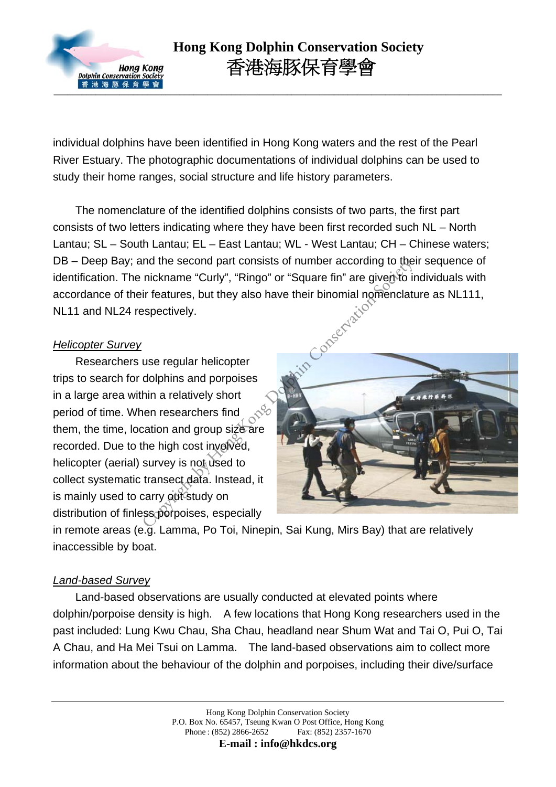

individual dolphins have been identified in Hong Kong waters and the rest of the Pearl River Estuary. The photographic documentations of individual dolphins can be used to study their home ranges, social structure and life history parameters.

The nomenclature of the identified dolphins consists of two parts, the first part consists of two letters indicating where they have been first recorded such NL – North Lantau; SL – South Lantau; EL – East Lantau; WL - West Lantau; CH – Chinese waters; DB – Deep Bay; and the second part consists of number according to their sequence of identification. The nickname "Curly", "Ringo" or "Square fin" are given to individuals with accordance of their features, but they also have their binomial nomenclature as NL111, NL11 and NL24 respectively.

#### *Helicopter Survey*

Researchers use regular helicopter trips to search for dolphins and porpoises in a large area within a relatively short period of time. When researchers find them, the time, location and group size are recorded. Due to the high cost involved, helicopter (aerial) survey is not used to collect systematic transect data. Instead, it is mainly used to carry out study on distribution of finless porpoises, especially



in remote areas (e.g. Lamma, Po Toi, Ninepin, Sai Kung, Mirs Bay) that are relatively inaccessible by boat.

#### *Land-based Survey*

Land-based observations are usually conducted at elevated points where dolphin/porpoise density is high. A few locations that Hong Kong researchers used in the past included: Lung Kwu Chau, Sha Chau, headland near Shum Wat and Tai O, Pui O, Tai A Chau, and Ha Mei Tsui on Lamma. The land-based observations aim to collect more information about the behaviour of the dolphin and porpoises, including their dive/surface

**E-mail : info@hkdcs.org**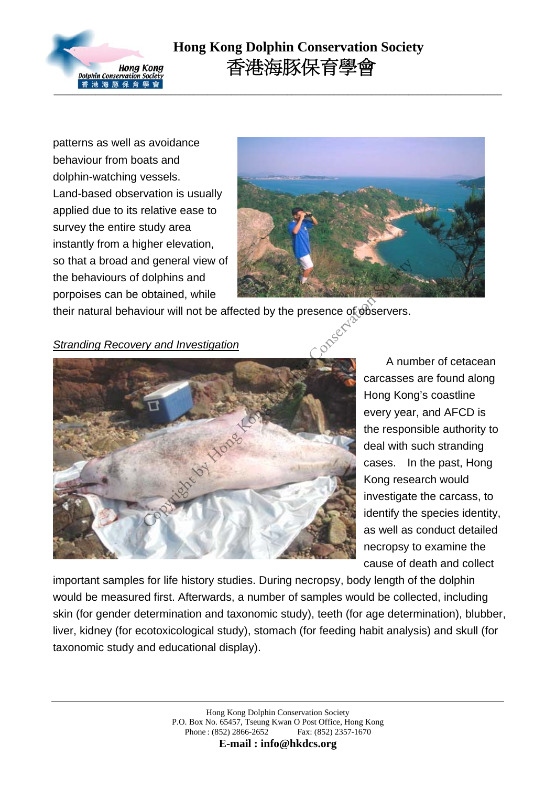

patterns as well as avoidance behaviour from boats and dolphin-watching vessels. Land-based observation is usually applied due to its relative ease to survey the entire study area instantly from a higher elevation, so that a broad and general view of the behaviours of dolphins and porpoises can be obtained, while



their natural behaviour will not be affected by the presence of observers.

*Stranding Recovery and Investigation*



A number of cetacean carcasses are found along Hong Kong's coastline every year, and AFCD is the responsible authority to deal with such stranding cases. In the past, Hong Kong research would investigate the carcass, to identify the species identity, as well as conduct detailed necropsy to examine the cause of death and collect

important samples for life history studies. During necropsy, body length of the dolphin would be measured first. Afterwards, a number of samples would be collected, including skin (for gender determination and taxonomic study), teeth (for age determination), blubber, liver, kidney (for ecotoxicological study), stomach (for feeding habit analysis) and skull (for taxonomic study and educational display).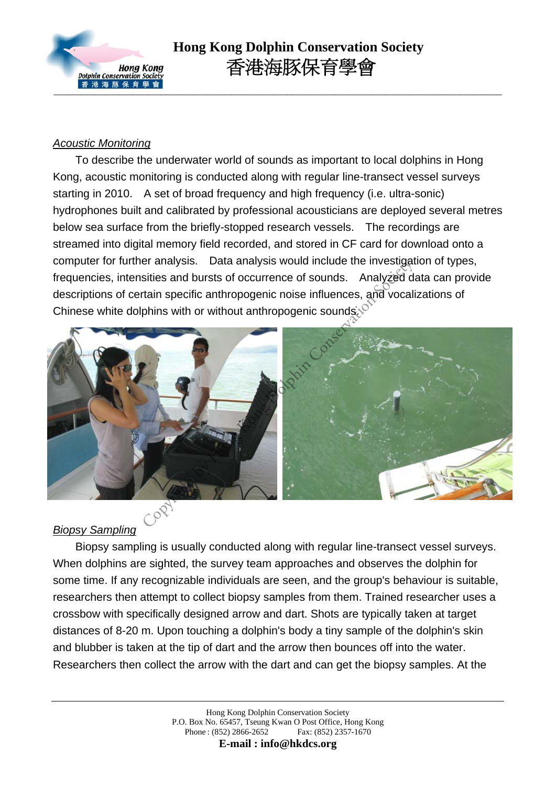

### *Acoustic Monitoring*

 To describe the underwater world of sounds as important to local dolphins in Hong Kong, acoustic monitoring is conducted along with regular line-transect vessel surveys starting in 2010. A set of broad frequency and high frequency (i.e. ultra-sonic) hydrophones built and calibrated by professional acousticians are deployed several metres below sea surface from the briefly-stopped research vessels. The recordings are streamed into digital memory field recorded, and stored in CF card for download onto a computer for further analysis. Data analysis would include the investigation of types, frequencies, intensities and bursts of occurrence of sounds. Analyzed data can provide descriptions of certain specific anthropogenic noise influences, and vocalizations of Chinese white dolphins with or without anthropogenic sounds.



## *Biopsy Sampling*

Biopsy sampling is usually conducted along with regular line-transect vessel surveys. When dolphins are sighted, the survey team approaches and observes the dolphin for some time. If any recognizable individuals are seen, and the group's behaviour is suitable, researchers then attempt to collect biopsy samples from them. Trained researcher uses a crossbow with specifically designed arrow and dart. Shots are typically taken at target distances of 8-20 m. Upon touching a dolphin's body a tiny sample of the dolphin's skin and blubber is taken at the tip of dart and the arrow then bounces off into the water. Researchers then collect the arrow with the dart and can get the biopsy samples. At the